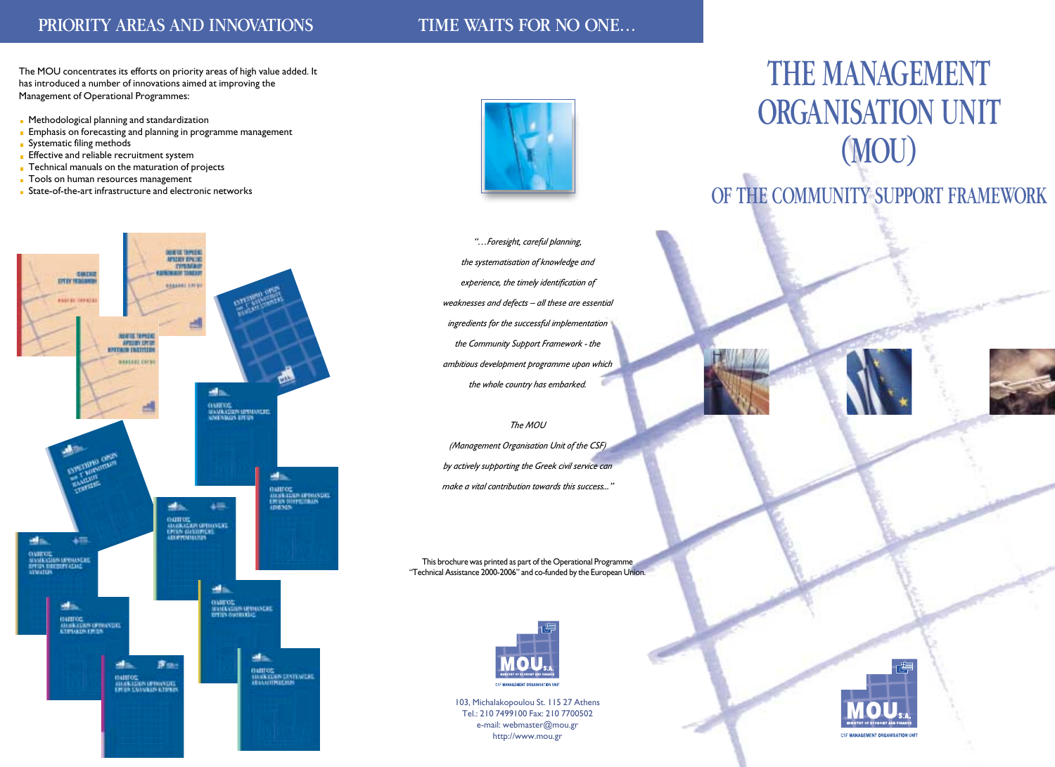## PRIORITY AREAS AND INNOVATIONS TIME WAITS FOR NO ONE...

The MOU concentrates its efforts on priority areas of high value added. It has introduced a number of innovations aimed at improving the Management of Operational Programmes:

- **Methodological planning and standardization**
- **Emphasis on forecasting and planning in programme management**
- Systematic filing methods
- **Effective and reliable recruitment system**
- **Technical manuals on the maturation of projects**
- **Tools on human resources management**
- **State-of-the-art infrastructure and electronic networks**





*"…Foresight, careful planning, the systematisation of knowledge and experience, the timely identification of weaknesses and defects – all these are essential ingredients for the successful implementation the Community Support Framework - the ambitious development programme upon which the whole country has embarked.* 

#### *The MOU*

*(Management Organisation Unit of the CSF) by actively supporting the Greek civil service can make a vital contribution towards this success..."*

This brochure was printed as part of the Operational Programme "Technical Assistance 2000-2006" and co-funded by the European Union.



103, Michalakopoulou St. 115 27 Athens Tel.: 210 7499100 Fax: 210 7700502 e-mail: webmaster@mou.gr http://www.mou.gr

# THE MANAGEMENT ORGANISATION UNIT (MOU)

# OF THE COMMUNITY SUPPORT FRAMEWORK